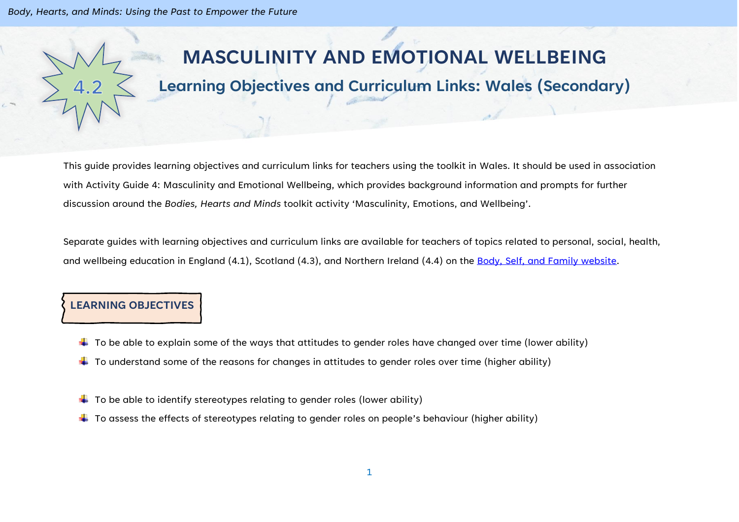*Body, Hearts, and Minds: Using the Past to Empower the Future*

# **MASCULINITY AND EMOTIONAL WELLBEING**

# **Learning Objectives and Curriculum Links: Wales (Secondary)**

This guide provides learning objectives and curriculum links for teachers using the toolkit in Wales. It should be used in association with Activity Guide 4: Masculinity and Emotional Wellbeing, which provides background information and prompts for further discussion around the *Bodies, Hearts and Minds* toolkit activity 'Masculinity, Emotions, and Wellbeing'.

Separate guides with learning objectives and curriculum links are available for teachers of topics related to personal, social, health, and wellbeing education in England (4.1), Scotland (4.3), and Northern Ireland (4.4) on the [Body, Self, and Family website.](https://bodyselffamily.org/)

#### **LEARNING OBJECTIVES**

- $\downarrow$  To be able to explain some of the ways that attitudes to gender roles have changed over time (lower ability)
- $\downarrow$  To understand some of the reasons for changes in attitudes to gender roles over time (higher ability)
- $\downarrow$  To be able to identify stereotypes relating to gender roles (lower ability)
- $\ddotplus$  To assess the effects of stereotypes relating to gender roles on people's behaviour (higher ability)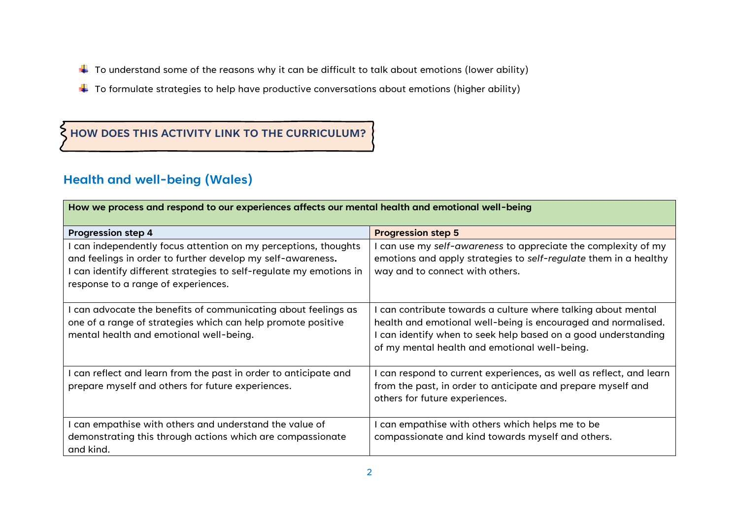- $\ddot{+}$  To understand some of the reasons why it can be difficult to talk about emotions (lower ability)
- $\ddotplus$  To formulate strategies to help have productive conversations about emotions (higher ability)

### **HOW DOES THIS ACTIVITY LINK TO THE CURRICULUM?**

## **Health and well-being (Wales)**

| How we process and respond to our experiences affects our mental health and emotional well-being                                                                                                                                           |                                                                                                                                                                                                                                               |  |
|--------------------------------------------------------------------------------------------------------------------------------------------------------------------------------------------------------------------------------------------|-----------------------------------------------------------------------------------------------------------------------------------------------------------------------------------------------------------------------------------------------|--|
| <b>Progression step 4</b>                                                                                                                                                                                                                  | <b>Progression step 5</b>                                                                                                                                                                                                                     |  |
| can independently focus attention on my perceptions, thoughts<br>and feelings in order to further develop my self-awareness.<br>I can identify different strategies to self-regulate my emotions in<br>response to a range of experiences. | can use my self-awareness to appreciate the complexity of my<br>emotions and apply strategies to self-regulate them in a healthy<br>way and to connect with others.                                                                           |  |
| can advocate the benefits of communicating about feelings as<br>one of a range of strategies which can help promote positive<br>mental health and emotional well-being.                                                                    | can contribute towards a culture where talking about mental<br>health and emotional well-being is encouraged and normalised.<br>can identify when to seek help based on a good understanding<br>of my mental health and emotional well-being. |  |
| can reflect and learn from the past in order to anticipate and<br>prepare myself and others for future experiences.                                                                                                                        | can respond to current experiences, as well as reflect, and learn<br>from the past, in order to anticipate and prepare myself and<br>others for future experiences.                                                                           |  |
| can empathise with others and understand the value of<br>demonstrating this through actions which are compassionate<br>and kind.                                                                                                           | can empathise with others which helps me to be<br>compassionate and kind towards myself and others.                                                                                                                                           |  |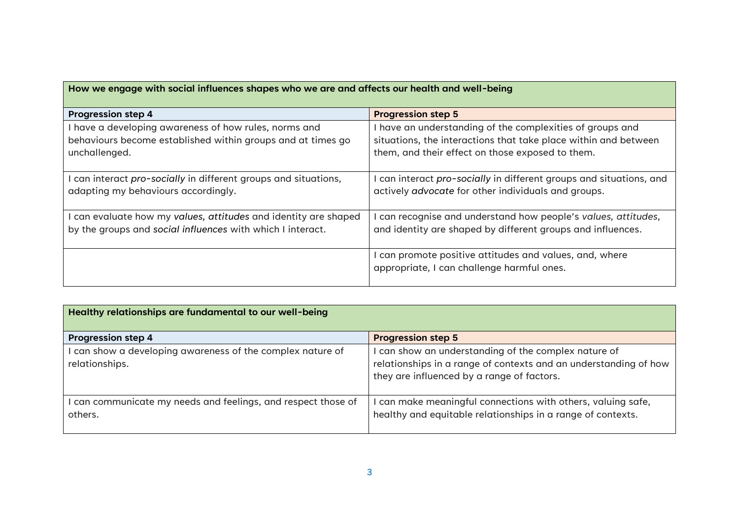| How we engage with social influences shapes who we are and affects our health and well-being |                                                                                                     |  |
|----------------------------------------------------------------------------------------------|-----------------------------------------------------------------------------------------------------|--|
| <b>Progression step 4</b>                                                                    | <b>Progression step 5</b>                                                                           |  |
| have a developing awareness of how rules, norms and                                          | have an understanding of the complexities of groups and                                             |  |
| behaviours become established within groups and at times go                                  | situations, the interactions that take place within and between                                     |  |
| unchallenged.                                                                                | them, and their effect on those exposed to them.                                                    |  |
| can interact pro-socially in different groups and situations,                                | can interact pro-socially in different groups and situations, and                                   |  |
| adapting my behaviours accordingly.                                                          | actively advocate for other individuals and groups.                                                 |  |
| I can evaluate how my values, attitudes and identity are shaped                              | can recognise and understand how people's values, attitudes,                                        |  |
| by the groups and social influences with which I interact.                                   | and identity are shaped by different groups and influences.                                         |  |
|                                                                                              | can promote positive attitudes and values, and, where<br>appropriate, I can challenge harmful ones. |  |

| Healthy relationships are fundamental to our well-being                    |                                                                                                                                                                      |  |
|----------------------------------------------------------------------------|----------------------------------------------------------------------------------------------------------------------------------------------------------------------|--|
| <b>Progression step 4</b>                                                  | <b>Progression step 5</b>                                                                                                                                            |  |
| can show a developing awareness of the complex nature of<br>relationships. | can show an understanding of the complex nature of<br>relationships in a range of contexts and an understanding of how<br>they are influenced by a range of factors. |  |
| can communicate my needs and feelings, and respect those of<br>others.     | can make meaningful connections with others, valuing safe,<br>healthy and equitable relationships in a range of contexts.                                            |  |